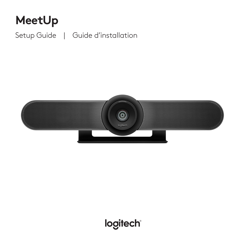# **MeetUp**

Setup Guide | Guide d'installation



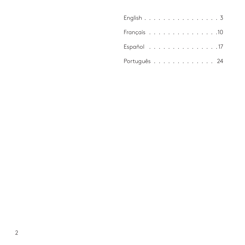| English 3    |  |  |  |  |  |  |  |  |
|--------------|--|--|--|--|--|--|--|--|
|              |  |  |  |  |  |  |  |  |
| Español 17   |  |  |  |  |  |  |  |  |
| Português 24 |  |  |  |  |  |  |  |  |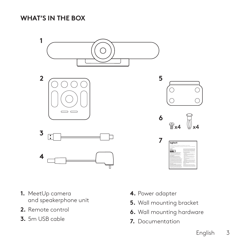**WHAT'S IN THE BOX**



- **1.** MeetUp camera and speakerphone unit
- **2.** Remote control
- **3.** 5m USB cable
- **4.** Power adapter
- **5.** Wall mounting bracket
- **6.** Wall mounting hardware
- **7.** Documentation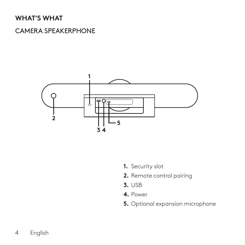#### **WHAT'S WHAT**

#### CAMERA SPEAKERPHONE



- **1.** Security slot
- **2.** Remote control pairing
- **3.** USB
- **4.** Power
- **5.** Optional expansion microphone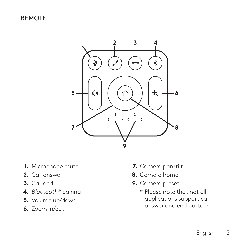REMOTE



- **1.** Microphone mute
- **2.** Call answer
- **3.** Call end
- **4.** *Bluetooth*® pairing
- **5.** Volume up/down
- **6.** Zoom in/out
- **7.** Camera pan/tilt
- **8.** Camera home
- **9.** Camera preset
	- \* Please note that not all applications support call answer and end buttons.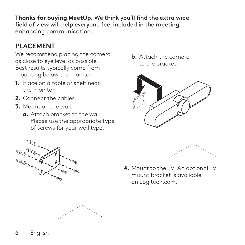**Thanks for buying MeetUp.** We think you'll find the extra wide field of view will help everyone feel included in the meeting, enhancing communication.

# **PLACEMENT**

We recommend placing the camera as close to eye level as possible. Best results typically come from mounting below the monitor.

- **1.** Place on a table or shelf near the monitor.
- **2.** Connect the cables.
- **3.** Mount on the wall:
	- **a.** Attach bracket to the wall. Please use the appropriate type of screws for your wall type.



**b.** Attach the camera to the bracket.



**4.** Mount to the TV: An optional TV mount bracket is available on Logitech.com.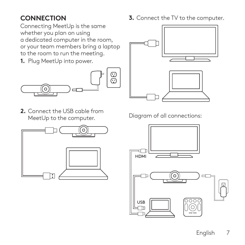# **CONNECTION**

Connecting MeetUp is the same whether you plan on using a dedicated computer in the room, or your team members bring a laptop to the room to run the meeting.

**1.** Plug MeetUp into power.



**2.** Connect the USB cable from MeetUp to the computer.



**3.** Connect the TV to the computer.



Diagram of all connections:

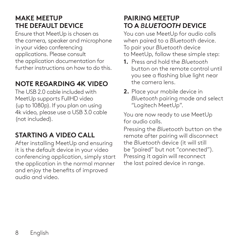### **MAKE MEETUP THE DEFAULT DEVICE**

Ensure that MeetUp is chosen as the camera, speaker and microphone in your video conferencing applications. Please consult the application documentation for further instructions on how to do this.

# **NOTE REGARDING 4K VIDEO**

The USB 2.0 cable included with MeetUp supports FullHD video (up to 1080p). If you plan on using 4k video, please use a USB 3.0 cable (not included).

# **STARTING A VIDEO CALL**

After installing MeetUp and ensuring it is the default device in your video conferencing application, simply start the application in the normal manner and enjoy the benefits of improved audio and video.

### **PAIRING MEETUP TO A** *BLUETOOTH* **DEVICE**

You can use MeetUp for audio calls when paired to a *Bluetooth* device. To pair your *Bluetooth* device

- to MeetUp, follow these simple step:
- **1.** Press and hold the *Bluetooth* button on the remote control until you see a flashing blue light near the camera lens.
- **2.** Place your mobile device in *Bluetooth* pairing mode and select "Logitech MeetUp".

You are now ready to use MeetUp for audio calls.

Pressing the *Bluetooth* button on the remote after pairing will disconnect the *Bluetooth* device (it will still be "paired" but not "connected"). Pressing it again will reconnect the last paired device in range.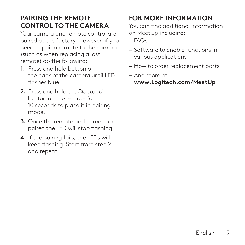### **PAIRING THE REMOTE CONTROL TO THE CAMERA**

Your camera and remote control are paired at the factory. However, if you need to pair a remote to the camera (such as when replacing a lost remote) do the following:

- **1.** Press and hold button on the back of the camera until LED flashes blue.
- **2.** Press and hold the *Bluetooth* button on the remote for 10 seconds to place it in pairing mode.
- **3.** Once the remote and camera are paired the LED will stop flashing.
- **4.** If the pairing fails, the LEDs will keep flashing. Start from step 2 and repeat.

# **FOR MORE INFORMATION**

You can find additional information on MeetUp including:

- FAQs
- Software to enable functions in various applications
- How to order replacement parts
- And more at **www.Logitech.com/MeetUp**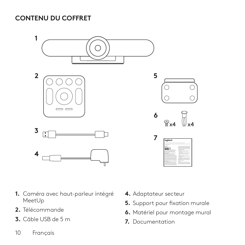**CONTENU DU COFFRET**



- **1.** Caméra avec haut-parleur intégré MeetUp
- **2.** Télécommande
- **3.** Câble USB de 5 m
- 10 Français
- **4.** Adaptateur secteur
- **5.** Support pour fixation murale
- **6.** Matériel pour montage mural
- **7.** Documentation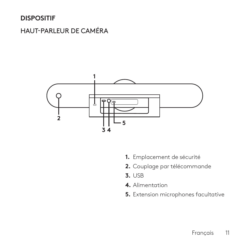### **DISPOSITIF**

### HAUT-PARLEUR DE CAMÉRA



- **1.** Emplacement de sécurité
- **2.** Couplage par télécommande
- **3.** USB
- **4.** Alimentation
- **5.** Extension microphones facultative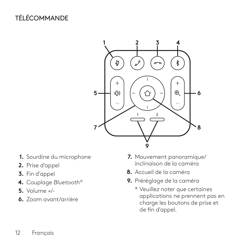# TÉLÉCOMMANDE



- **1.** Sourdine du microphone
- **2.** Prise d'appel
- **3.** Fin d'appel
- **4.** Couplage *Bluetooth*®
- **5.** Volume +/-
- **6.** Zoom avant/arrière
- **7.** Mouvement panoramique/ inclinaison de la caméra
- **8.** Accueil de la caméra
- **9.** Préréglage de la caméra
	- \* Veuillez noter que certaines applications ne prennent pas en charge les boutons de prise et de fin d'appel.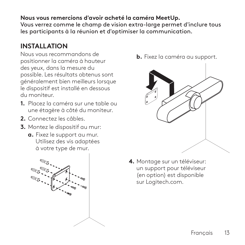#### **Nous vous remercions d'avoir acheté la caméra MeetUp.**

Vous verrez comme le champ de vision extra-large permet d'inclure tous les participants à la réunion et d'optimiser la communication.

### **INSTALLATION**

Nous vous recommandons de positionner la caméra à hauteur des yeux, dans la mesure du possible. Les résultats obtenus sont généralement bien meilleurs lorsque le dispositif est installé en dessous du moniteur.

- **1.** Placez la caméra sur une table ou une étagère à côté du moniteur.
- **2.** Connectez les câbles.
- **3.** Montez le dispositif au mur:
	- **a.** Fixez le support au mur. Utilisez des vis adaptées à votre type de mur.







**4.** Montage sur un téléviseur: un support pour téléviseur (en option) est disponible sur Logitech.com.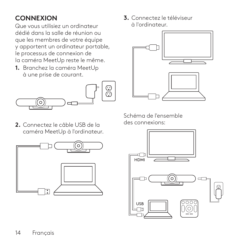# **CONNEXION**

Que vous utilisiez un ordinateur dédié dans la salle de réunion ou que les membres de votre équipe y apportent un ordinateur portable, le processus de connexion de la caméra MeetUp reste le même.

**1.** Branchez la caméra MeetUp à une prise de courant.



**2.** Connectez le câble USB de la caméra MeetUp à l'ordinateur. **3.** Connectez le téléviseur à l'ordinateur.



Schéma de l'ensemble des connexions:



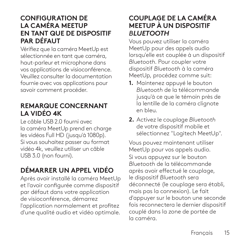#### **CONFIGURATION DE LA CAMÉRA MEETUP EN TANT QUE DE DISPOSITIF PAR DÉFAUT**

Vérifiez que la caméra MeetUp est sélectionnée en tant que caméra, haut-parleur et microphone dans vos applications de visioconférence. Veuillez consulter la documentation fournie avec vos applications pour savoir comment procéder.

#### **REMARQUE CONCERNANT LA VIDÉO 4K**

Le câble USB 2.0 fourni avec la caméra MeetUp prend en charge les vidéos Full HD (jusqu'à 1080p). Si vous souhaitez passer au format vidéo 4k, veuillez utiliser un câble USB 3.0 (non fourni).

# **DÉMARRER UN APPEL VIDÉO**

Après avoir installé la caméra MeetUp et l'avoir configurée comme dispositif par défaut dans votre application de visioconférence, démarrez l'application normalement et profitez d'une qualité audio et vidéo optimale.

#### **COUPLAGE DE LA CAMÉRA MEETUP À UN DISPOSITIF** *BLUETOOTH*

Vous pouvez utiliser la caméra MeetUp pour des appels audio lorsqu'elle est couplée à un dispositif *Bluetooth*. Pour coupler votre dispositif *Bluetooth* à la caméra MeetUp, procédez comme suit:

- **1.** Maintenez appuyé le bouton *Bluetooth* de la télécommande jusqu'à ce que le témoin près de la lentille de la caméra clignote en bleu.
- **2.** Activez le couplage *Bluetooth* de votre dispositif mobile et sélectionnez "Logitech MeetUp".

Vous pouvez maintenant utiliser MeetUp pour vos appels audio. Si vous appuyez sur le bouton *Bluetooth* de la télécommande après avoir effectué le couplage, le dispositif *Bluetooth* sera déconnecté (le couplage sera établi, mais pas la connexion). Le fait d'appuyer sur le bouton une seconde fois reconnectera le dernier dispositif couplé dans la zone de portée de la caméra.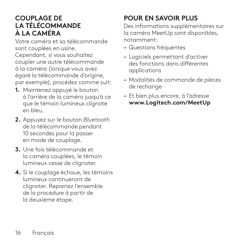#### **COUPLAGE DE LA TÉLÉCOMMANDE À LA CAMÉRA**

Votre caméra et sa télécommande sont couplées en usine. Cependant, si vous souhaitez coupler une autre télécommande à la caméra (lorsque vous avez égaré la télécommande d'origine, par exemple), procédez comme suit:

- **1.** Maintenez appuyé le bouton à l'arrière de la caméra jusqu'à ce que le témoin lumineux clignote en bleu.
- **2.** Appuyez sur le bouton *Bluetooth* de la télécommande pendant 10 secondes pour la passer en mode de couplage.
- **3.** Une fois télécommande et la caméra couplées, le témoin lumineux cesse de clignoter.
- **4.** Si le couplage échoue, les témoins lumineux continueront de clignoter. Reprenez l'ensemble de la procédure à partir de la deuxième étape.

# **POUR EN SAVOIR PLUS**

Des informations supplémentaires sur la caméra MeetUp sont disponibles, notamment:

- Questions fréquentes
- Logiciels permettant d'activer des fonctions dans différentes applications
- Modalités de commande de pièces de rechange
- Et bien plus encore, à l'adresse **www.Logitech.com/MeetUp**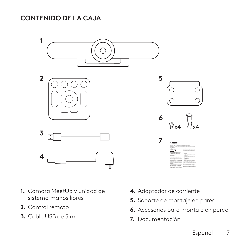**CONTENIDO DE LA CAJA**



- **1.** Cámara MeetUp y unidad de sistema manos libres
- **2.** Control remoto
- **3.** Cable USB de 5 m
- **4.** Adaptador de corriente
- **5.** Soporte de montaje en pared
- **6.** Accesorios para montaje en pared
- **7.** Documentación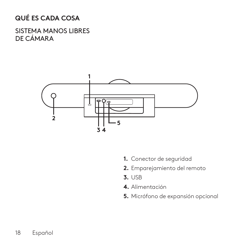# **QUÉ ES CADA COSA**

SISTEMA MANOS LIBRES DE CÁMARA



- **1.** Conector de seguridad
- **2.** Emparejamiento del remoto
- **3.** USB
- **4.** Alimentación
- **5.** Micrófono de expansión opcional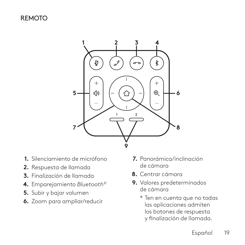#### REMOTO



- **1.** Silenciamiento de micrófono
- **2.** Respuesta de llamada
- **3.** Finalización de llamada
- **4.** Emparejamiento *Bluetooth*®
- **5.** Subir y bajar volumen
- **6.** Zoom para ampliar/reducir
- **7.** Panorámica/inclinación de cámara
- **8.** Centrar cámara
- **9.** Valores predeterminados de cámara
	- \* Ten en cuenta que no todas las aplicaciones admiten los botones de respuesta y finalización de llamada.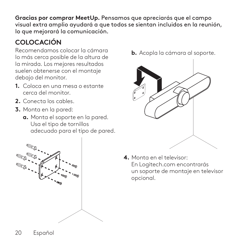**Gracias por comprar MeetUp.** Pensamos que apreciarás que el campo visual extra amplio ayudará a que todos se sientan incluidos en la reunión, lo que mejorará la comunicación.

# **COLOCACIÓN**

Recomendamos colocar la cámara lo más cerca posible de la altura de la mirada. Los mejores resultados suelen obtenerse con el montaje debajo del monitor.

- **1.** Coloca en una mesa o estante cerca del monitor.
- **2.** Conecta los cables.
- **3.** Monta en la pared:
	- **a.** Monta el soporte en la pared. Usa el tipo de tornillos adecuado para el tipo de pared.



**b.** Acopla la cámara al soporte.



**4.** Monta en el televisor: En Logitech.com encontrarás un soporte de montaje en televisor opcional.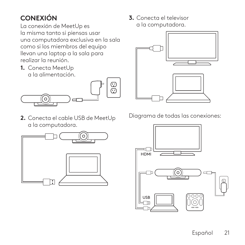# **CONEXIÓN**

La conexión de MeetUp es la misma tanto si piensas usar una computadora exclusiva en la sala como si los miembros del equipo llevan una laptop a la sala para realizar la reunión.

**1.** Conecta MeetUp a la alimentación.



**2.** Conecta el cable USB de MeetUp a la computadora.



**3.** Conecta el televisor a la computadora.



Diagrama de todas las conexiones:

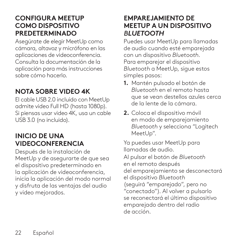#### **CONFIGURA MEETUP COMO DISPOSITIVO PREDETERMINADO**

Asegúrate de elegir MeetUp como cámara, altavoz y micrófono en las aplicaciones de videoconferencia. Consulta la documentación de la aplicación para más instrucciones sobre cómo hacerlo.

### **NOTA SOBRE VIDEO 4K**

El cable USB 2.0 incluido con MeetUp admite video Full HD (hasta 1080p). Si piensas usar video 4K, usa un cable USB 3.0 (no incluido).

#### **INICIO DE UNA VIDEOCONFERENCIA**

Después de la instalación de MeetUp y de asegurarte de que sea el dispositivo predeterminado en la aplicación de videoconferencia, inicia la aplicación del modo normal y disfruta de las ventajas del audio y video mejorados.

#### **EMPAREJAMIENTO DE MEETUP A UN DISPOSITIVO** *BLUETOOTH*

Puedes usar MeetUp para llamadas de audio cuando esté emparejada con un dispositivo *Bluetooth*. Para emparejar el dispositivo *Bluetooth* a MeetUp, sigue estos simples pasos:

- **1.** Mantén pulsado el botón de *Bluetooth* en el remoto hasta que se vean destellos azules cerca de la lente de la cámara.
- **2.** Coloca el dispositivo móvil en modo de emparejamiento *Bluetooth* y selecciona "Logitech MeetUp".

Ya puedes usar MeetUp para llamadas de audio. Al pulsar el botón de *Bluetooth* en el remoto después del emparejamiento se desconectará el dispositivo *Bluetooth* (seguirá "emparejado", pero no "conectado"). Al volver a pulsarlo se reconectará el último dispositivo emparejado dentro del radio de acción.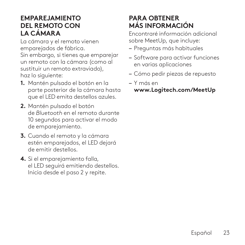#### **EMPAREJAMIENTO DEL REMOTO CON LA CÁMARA**

La cámara y el remoto vienen emparejados de fábrica.

Sin embargo, si tienes que emparejar un remoto con la cámara (como al sustituir un remoto extraviado), haz lo siguiente:

- **1.** Mantén pulsado el botón en la parte posterior de la cámara hasta que el LED emita destellos azules.
- **2.** Mantén pulsado el botón de *Bluetooth* en el remoto durante 10 segundos para activar el modo de emparejamiento.
- **3.** Cuando el remoto y la cámara estén emparejados, el LED dejará de emitir destellos.
- **4.** Si el emparejamiento falla, el LED seguirá emitiendo destellos. Inicia desde el paso 2 y repite.

# **PARA OBTENER MÁS INFORMACIÓN**

Encontraré información adicional sobre MeetUp, que incluye:

- Preguntas más habituales
- Software para activar funciones en varias aplicaciones
- Cómo pedir piezas de repuesto
- Y más en **www.Logitech.com/MeetUp**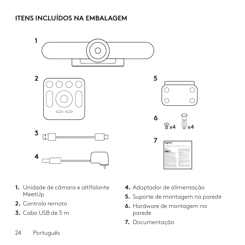# **ITENS INCLUÍDOS NA EMBALAGEM**



- **1.** Unidade de câmara e altifalante MeetUp
- **2.** Controlo remoto
- **3.** Cabo USB de 5 m
- **4.** Adaptador de alimentação
- **5.** Suporte de montagem na parede
- **6.** Hardware de montagem na parede
- **7.** Documentação

24 Português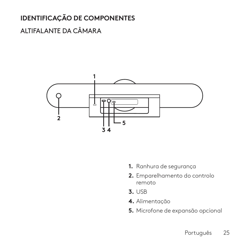# **IDENTIFICAÇÃO DE COMPONENTES**

# ALTIFALANTE DA CÂMARA



- **1.** Ranhura de segurança
- **2.** Emparelhamento do controlo remoto
- **3.** USB
- **4.** Alimentação
- **5.** Microfone de expansão opcional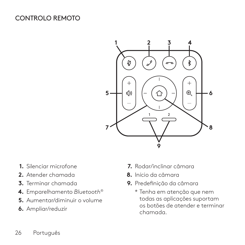### CONTROLO REMOTO



- **1.** Silenciar microfone
- **2.** Atender chamada
- **3.** Terminar chamada
- **4.** Emparelhamento *Bluetooth*®
- **5.** Aumentar/diminuir o volume
- **6.** Ampliar/reduzir
- **7.** Rodar/inclinar câmara
- **8.** Início da câmara
- **9.** Predefinição da câmara
	- \* Tenha em atenção que nem todas as aplicações suportam os botões de atender e terminar chamada.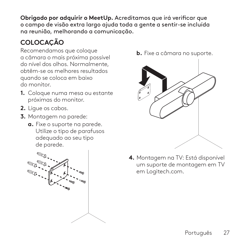**Obrigado por adquirir o MeetUp.** Acreditamos que irá verificar que o campo de visão extra largo ajuda toda a gente a sentir-se incluída na reunião, melhorando a comunicação.

# **COLOCAÇÃO**

Recomendamos que coloque a câmara o mais próxima possível do nível dos olhos. Normalmente, obtêm-se os melhores resultados quando se coloca em baixo do monitor.

- **1.** Coloque numa mesa ou estante próximas do monitor.
- **2.** Ligue os cabos.
- **3.** Montagem na parede:
	- **a.** Fixe o suporte na parede. Utilize o tipo de parafusos adequado ao seu tipo de parede.



**b.** Fixe a câmara no suporte.



**4.** Montagem na TV: Está disponível um suporte de montagem em TV em Logitech.com.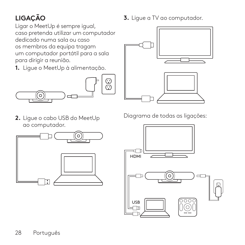# **LIGAÇÃO**

Ligar o MeetUp é sempre igual, caso pretenda utilizar um computador dedicado numa sala ou caso os membros da equipa tragam um computador portátil para a sala para dirigir a reunião.

**1.** Ligue o MeetUp à alimentação.



**2.** Ligue o cabo USB do MeetUp ao computador.



**3.** Ligue a TV ao computador.



Diagrama de todas as ligações:

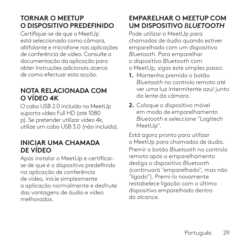### **TORNAR O MEETUP O DISPOSITIVO PREDEFINIDO**

Certifique-se de que o MeetUp está seleccionado como câmara, altifalante e microfone nas aplicações de conferência de vídeo. Consulte a documentação da aplicação para obter instruções adicionais acerca de como efectuar esta acção.

#### **NOTA RELACIONADA COM O VÍDEO 4K**

O cabo USB 2.0 incluído no MeetUp suporta vídeo Full HD (até 1080 p). Se pretender utilizar vídeo 4k, utilize um cabo USB 3.0 (não incluído).

#### **INICIAR UMA CHAMADA DE VÍDEO**

Após instalar o MeetUp e certificarse de que é o dispositivo predefinido na aplicação de conferência de vídeo, inicie simplesmente a aplicação normalmente e desfrute das vantagens de áudio e vídeo melhorados.

### **EMPARELHAR O MEETUP COM UM DISPOSITIVO** *BLUETOOTH*

Pode utilizar o MeetUp para chamadas de áudio quando estiver emparelhado com um dispositivo *Bluetooth*. Para emparelhar o dispositivo *Bluetooth* com o MeetUp, sigas este simples passo:

- **1.** Mantenha premido o botão *Bluetooth* no controlo remoto até ver uma luz intermitente azul junto da lente da câmara.
- **2.** Coloque o dispositivo móvel em modo de emparelhamento *Bluetooth* e seleccione "Logitech MeetUp".

Está agora pronto para utilizar o MeetUp para chamadas de áudio. Premir o botão *Bluetooth* no controlo remoto após o emparelhamento desliga o dispositivo *Bluetooth* (continuará "emparelhado", mas não "ligado"). Premi-lo novamente restabelece ligação com o último dispositivo emparelhado dentro do alcance.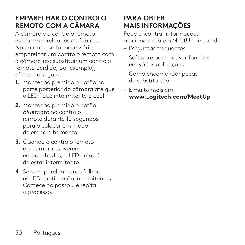### **EMPARELHAR O CONTROLO REMOTO COM A CÂMARA**

A câmara e o controlo remoto estão emparelhados de fabrico. No entanto, se for necessário emparelhar um controlo remoto com a câmara (ao substituir um controlo remoto perdido, por exemplo), efectue o seguinte:

- **1.** Mantenha premido o botão na parte posterior da câmara até que o LED fique intermitente a azul.
- **2.** Mantenha premido o botão *Bluetooth* no controlo remoto durante 10 segundos para o colocar em modo de emparelhamento.
- **3.** Quando o controlo remoto e a câmara estiverem emparelhados, o LED deixará de estar intermitente.
- **4.** Se o emparelhamento falhar, os LED continuarão intermitentes. Comece no passo 2 e repita o processo.

### **PARA OBTER MAIS INFORMAÇÕES**

Pode encontrar informações adicionais sobre o MeetUp, incluindo:

- Perguntas frequentes
- Software para activar funções em várias aplicações
- Como encomendar peças de substituição
- E muito mais em **www.Logitech.com/MeetUp**